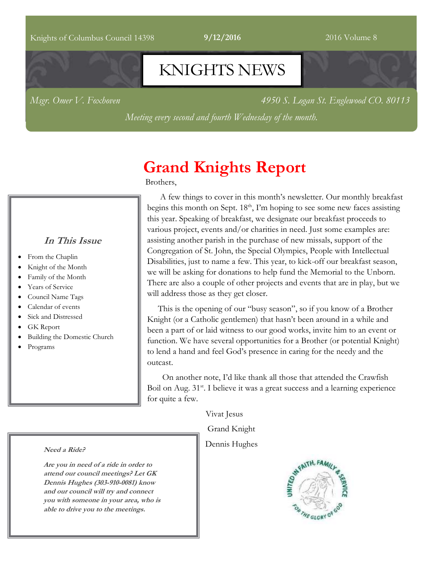#### Knights of Columbus Council 14398 **9/12/2016** 2016 Volume 8

# KNIGHTS NEWS

*Msgr. Omer V. Foxhoven 4950 S. Logan St. Englewood CO. 80113*

*Meeting every second and fourth Wednesday of the month.*

# **Grand Knights Report**

Brothers,

### **In This Issue**

- From the Chaplin
- Knight of the Month
- Family of the Month
- Years of Service
- Council Name Tags
- Calendar of events
- Sick and Distressed
- GK Report
- Building the Domestic Church
- Programs

 A few things to cover in this month's newsletter. Our monthly breakfast begins this month on Sept. 18<sup>th</sup>, I'm hoping to see some new faces assisting this year. Speaking of breakfast, we designate our breakfast proceeds to various project, events and/or charities in need. Just some examples are: assisting another parish in the purchase of new missals, support of the Congregation of St. John, the Special Olympics, People with Intellectual Disabilities, just to name a few. This year, to kick-off our breakfast season, we will be asking for donations to help fund the Memorial to the Unborn. There are also a couple of other projects and events that are in play, but we will address those as they get closer.

 This is the opening of our "busy season", so if you know of a Brother Knight (or a Catholic gentlemen) that hasn't been around in a while and been a part of or laid witness to our good works, invite him to an event or function. We have several opportunities for a Brother (or potential Knight) to lend a hand and feel God's presence in caring for the needy and the outcast.

 On another note, I'd like thank all those that attended the Crawfish Boil on Aug. 31<sup>st</sup>. I believe it was a great success and a learning experience for quite a few.

Vivat Jesus

Grand Knight

Dennis Hughes



#### **Need a Ride?**

**Are you in need of a ride in order to attend our council meetings? Let GK Dennis Hughes (303-910-0081) know and our council will try and connect you with someone in your area, who is able to drive you to the meetings.**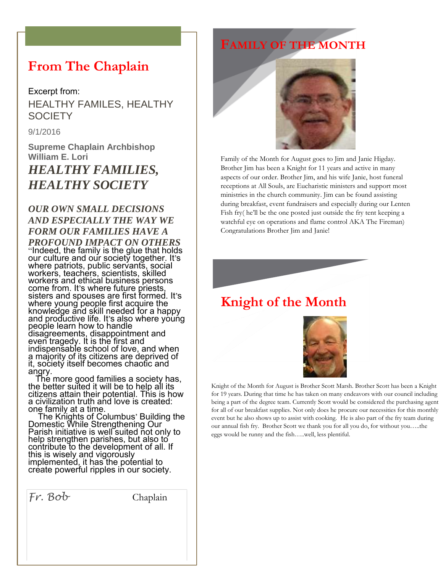### **From The Chaplain**

#### Excerpt from:

HEALTHY FAMILES, HEALTHY **SOCIETY** 

9/1/2016

**Supreme Chaplain Archbishop William E. Lori** *HEALTHY FAMILIES, HEALTHY SOCIETY*

### *OUR OWN SMALL DECISIONS AND ESPECIALLY THE WAY WE FORM OUR FAMILIES HAVE A*

*PROFOUND IMPACT ON OTHERS*  "Indeed, the family is the glue that holds our culture and our society together. It's where patriots, public servants, social workers, teachers, scientists, skilled workers and ethical business persons come from. It's where future priests, sisters and spouses are first formed. It's where young people first acquire the knowledge and skill needed for a happy and productive life. It's also where young people learn how to handle disagreements, disappointment and even tragedy. It is the first and indispensable school of love, and when a majority of its citizens are deprived of it, society itself becomes chaotic and angry.

 The more good families a society has, the better suited it will be to help all its citizens attain their potential. This is how a civilization truth and love is created: one family at a time.

 The Knights of Columbus' Building the Domestic While Strengthening Our Parish initiative is well suited not only to help strengthen parishes, but also to contribute to the development of all. If this is wisely and vigorously implemented, it has the potential to create powerful ripples in our society.

*Fr. Bob* Chaplain

# **FAMILY OF THE MONTH**



Family of the Month for August goes to Jim and Janie Higday. Brother Jim has been a Knight for 11 years and active in many aspects of our order. Brother Jim, and his wife Janie, host funeral receptions at All Souls, are Eucharistic ministers and support most ministries in the church community. Jim can be found assisting during breakfast, event fundraisers and especially during our Lenten Fish fry( he'll be the one posted just outside the fry tent keeping a watchful eye on operations and flame control AKA The Fireman) Congratulations Brother Jim and Janie!



# **Knight of the Month**



Knight of the Month for August is Brother Scott Marsh. Brother Scott has been a Knight for 19 years. During that time he has taken on many endeavors with our council including being a part of the degree team. Currently Scott would be considered the purchasing agent for all of our breakfast supplies. Not only does he procure our necessities for this monthly event but he also shows up to assist with cooking. He is also part of the fry team during our annual fish fry. Brother Scott we thank you for all you do, for without you…..the eggs would be runny and the fish…..well, less plentiful.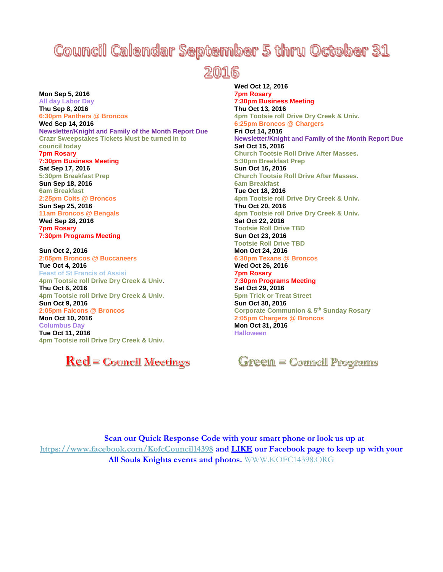# **Council Calendar September 5 thru October 31**

2016

**Mon Sep 5, 2016 All day Labor Day Thu Sep 8, 2016 6:30pm Panthers @ Broncos Wed Sep 14, 2016 Newsletter/Knight and Family of the Month Report Due Crazr Sweepstakes Tickets Must be turned in to council today 7pm Rosary 7:30pm Business Meeting Sat Sep 17, 2016 5:30pm Breakfast Prep Sun Sep 18, 2016 6am Breakfast 2:25pm Colts @ Broncos Sun Sep 25, 2016 11am Broncos @ Bengals Wed Sep 28, 2016 7pm Rosary 7:30pm Programs Meeting Sun Oct 2, 2016 2:05pm Broncos @ Buccaneers Tue Oct 4, 2016 Feast of St Francis of Assisi 4pm Tootsie roll Drive Dry Creek & Univ. Thu Oct 6, 2016**

**4pm Tootsie roll Drive Dry Creek & Univ. Sun Oct 9, 2016 2:05pm Falcons @ Broncos Mon Oct 10, 2016 Columbus Day Tue Oct 11, 2016**

**4pm Tootsie roll Drive Dry Creek & Univ.**

 $\text{Red}$  = Council Meetings

**Wed Oct 12, 2016 7pm Rosary 7:30pm Business Meeting Thu Oct 13, 2016 4pm Tootsie roll Drive Dry Creek & Univ. 6:25pm Broncos @ Chargers Fri Oct 14, 2016 Newsletter/Knight and Family of the Month Report Due Sat Oct 15, 2016 Church Tootsie Roll Drive After Masses. 5:30pm Breakfast Prep Sun Oct 16, 2016 Church Tootsie Roll Drive After Masses. 6am Breakfast Tue Oct 18, 2016 4pm Tootsie roll Drive Dry Creek & Univ. Thu Oct 20, 2016 4pm Tootsie roll Drive Dry Creek & Univ. Sat Oct 22, 2016 Tootsie Roll Drive TBD Sun Oct 23, 2016 Tootsie Roll Drive TBD Mon Oct 24, 2016 6:30pm Texans @ Broncos Wed Oct 26, 2016 7pm Rosary 7:30pm Programs Meeting Sat Oct 29, 2016 5pm Trick or Treat Street Sun Oct 30, 2016 Corporate Communion & 5th Sunday Rosary 2:05pm Chargers @ Broncos Mon Oct 31, 2016 Halloween**

**Green = Council Programs** 

**Scan our Quick Response Code with your smart phone or look us up at <https://www.facebook.com/KofcCouncil14398> and LIKE our Facebook page to keep up with your All Souls Knights events and photos.** [WWW.KOFC14398.ORG](http://www.kofc14398.org/)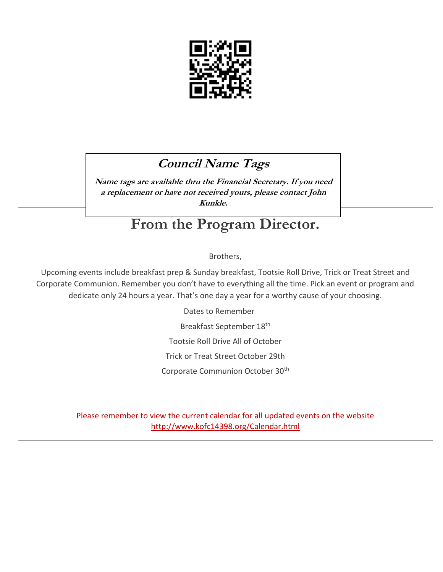

# **Council Name Tags**

**Name tags are available thru the Financial Secretary. If you need a replacement or have not received yours, please contact John Kunkle.**

# **From the Program Director.**

### Brothers,

Upcoming events include breakfast prep & Sunday breakfast, Tootsie Roll Drive, Trick or Treat Street and Corporate Communion. Remember you don't have to everything all the time. Pick an event or program and dedicate only 24 hours a year. That's one day a year for a worthy cause of your choosing.

Dates to Remember

Breakfast September 18th

Tootsie Roll Drive All of October

Trick or Treat Street October 29th

Corporate Communion October 30th

Please remember to view the current calendar for all updated events on the website <http://www.kofc14398.org/Calendar.html>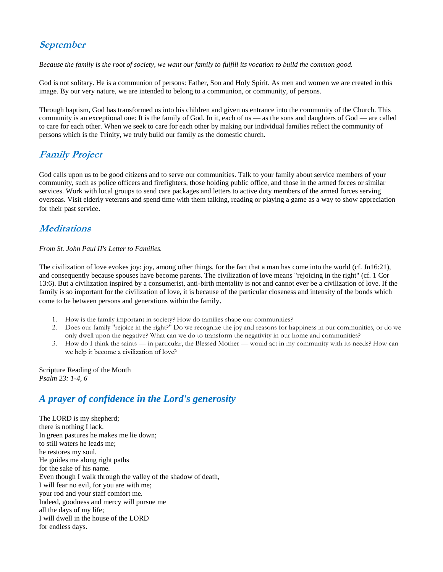### **September**

*Because the family is the root of society, we want our family to fulfill its vocation to build the common good.*

God is not solitary. He is a communion of persons: Father, Son and Holy Spirit. As men and women we are created in this image. By our very nature, we are intended to belong to a communion, or community, of persons.

Through baptism, God has transformed us into his children and given us entrance into the community of the Church. This community is an exceptional one: It is the family of God. In it, each of us — as the sons and daughters of God — are called to care for each other. When we seek to care for each other by making our individual families reflect the community of persons which is the Trinity, we truly build our family as the domestic church.

### **Family Project**

God calls upon us to be good citizens and to serve our communities. Talk to your family about service members of your community, such as police officers and firefighters, those holding public office, and those in the armed forces or similar services. Work with local groups to send care packages and letters to active duty members of the armed forces serving overseas. Visit elderly veterans and spend time with them talking, reading or playing a game as a way to show appreciation for their past service.

### **Meditations**

#### *From St. John Paul II's Letter to Families.*

The civilization of love evokes joy: joy, among other things, for the fact that a man has come into the world (cf. Jn16:21), and consequently because spouses have become parents. The civilization of love means "rejoicing in the right" (cf. 1 Cor 13:6). But a civilization inspired by a consumerist, anti-birth mentality is not and cannot ever be a civilization of love. If the family is so important for the civilization of love, it is because of the particular closeness and intensity of the bonds which come to be between persons and generations within the family.

- 1. How is the family important in society? How do families shape our communities?
- 2. Does our family "rejoice in the right?" Do we recognize the joy and reasons for happiness in our communities, or do we only dwell upon the negative? What can we do to transform the negativity in our home and communities?
- 3. How do I think the saints in particular, the Blessed Mother would act in my community with its needs? How can we help it become a civilization of love?

Scripture Reading of the Month *Psalm 23: 1-4, 6*

### *A prayer of confidence in the Lord's generosity*

The LORD is my shepherd; there is nothing I lack. In green pastures he makes me lie down; to still waters he leads me; he restores my soul. He guides me along right paths for the sake of his name. Even though I walk through the valley of the shadow of death, I will fear no evil, for you are with me; your rod and your staff comfort me. Indeed, goodness and mercy will pursue me all the days of my life; I will dwell in the house of the LORD for endless days.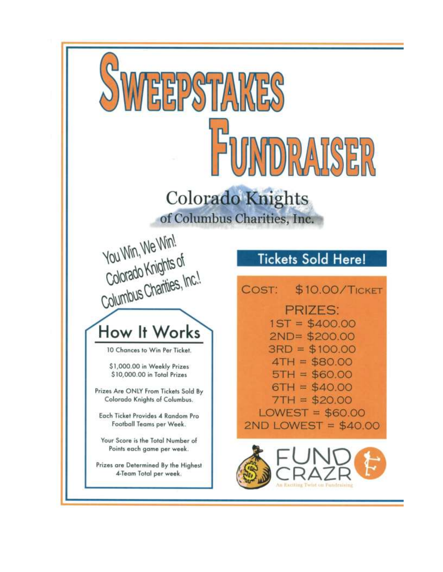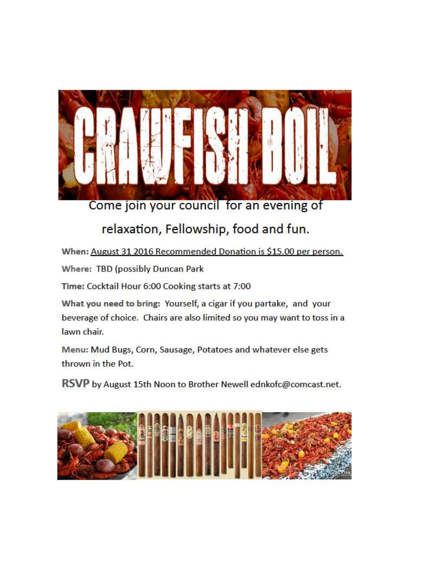

Come join your council for an evening of

# relaxation, Fellowship, food and fun.

When: August 31 2016 Recommended Donation is \$15.00 per person.

Where: TBD (possibly Duncan Park

Time: Cocktail Hour 6:00 Cooking starts at 7:00

What you need to bring: Yourself, a cigar if you partake, and your beverage of choice. Chairs are also limited so you may want to toss in a lawn chair.

Menu: Mud Bugs, Corn, Sausage, Potatoes and whatever else gets thrown in the Pot.

RSVP by August 15th Noon to Brother Newell ednkofc@comcast.net.

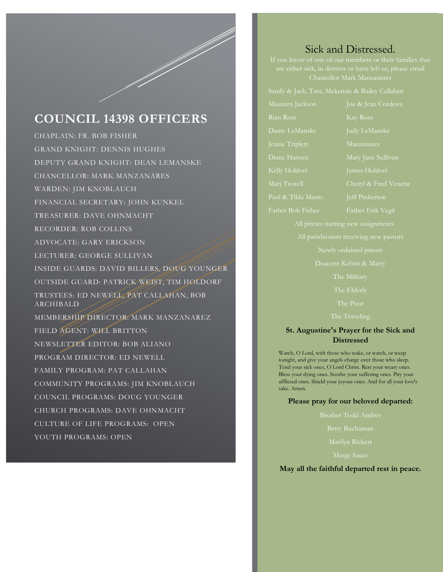## **COUNCIL 14398 OFFICERS**

CHAPLAIN: FR. BOB FISHER GRAND KNIGHT: DENNIS HUGHES DEPUTY GRAND KNIGHT: DEAN LEMANSKE CHANCELLOR: MARK MANZANARES WARDEN: JIM KNOBLAUCH FINANCIAL SECRETARY: JOHN KUNKEL TREASURER: DAVE OHNMACHT RECORDER: ROB COLLINS ADVOCATE: GARY ERICKSON LECTURER: GEORGE SULLIVAN INSIDE GUARDS: DAVID BILLERS, DOUG YOUNGER OUTSIDE GUARD: PATRICK WEIST, TIM HOLDORF TRUSTEES: ED NEWELL, PAT CALLAHAN, BOB ARCHIBALD MEMBERSHIP DIRECTOR: MARK MANZANAREZ FIELD AGENT: WILL BRITTON NEWSLETTER EDITOR: BOB ALIANO PROGRAM DIRECTOR: ED NEWELL FAMILY PROGRAM: PAT CALLAHAN COMMUNITY PROGRAMS: JIM KNOBLAUCH COUNCIL PROGRAMS: DOUG YOUNGER CHURCH PROGRAMS: DAVE OHNMACHT CULTURE OF LIFE PROGRAMS: OPEN YOUTH PROGRAMS: OPEN

### Sick and Distressed.

If you know of one of our members or their families that Chancellor Mark Manzaneres

Rian Ross Kay Ross Dante LeManske Judy LeManske Diane Hansen Mary Jane Sullivan Paul & Tilda Masto Jeff Pinkerton

All priests starting new assignments

Deacons Kelvin & Marty

The Poor

The Traveling

#### **St. Augustine's Prayer for the Sick and Distressed**

Watch, O Lord, with those who wake, or watch, or weep tonight, and give your angels charge over those who sleep. Tend your sick ones, O Lord Christ. Rest your weary ones. Bless your dying ones. Soothe your suffering ones. Pity your afflicted ones. Shield your joyous ones. And for all your love's sake. Amen.

#### **Please pray for our beloved departed:**

Brother Todd Andres

Betty Buchaman

Marilyn Rickert

#### **May all the faithful departed rest in peace.**